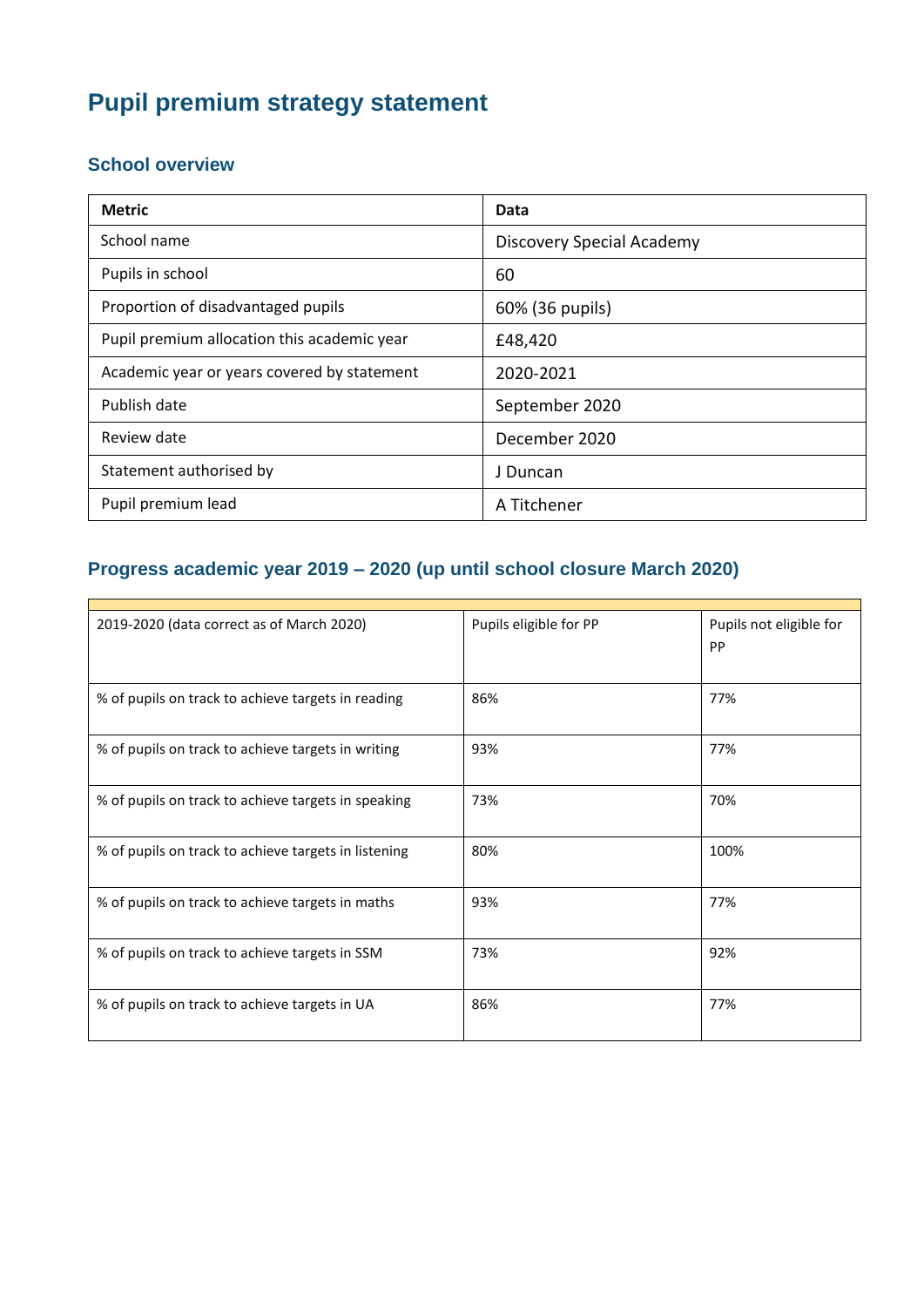# **Pupil premium strategy statement**

#### **School overview**

| <b>Metric</b>                               | Data                      |
|---------------------------------------------|---------------------------|
| School name                                 | Discovery Special Academy |
| Pupils in school                            | 60                        |
| Proportion of disadvantaged pupils          | 60% (36 pupils)           |
| Pupil premium allocation this academic year | £48,420                   |
| Academic year or years covered by statement | 2020-2021                 |
| Publish date                                | September 2020            |
| Review date                                 | December 2020             |
| Statement authorised by                     | J Duncan                  |
| Pupil premium lead                          | A Titchener               |

### **Progress academic year 2019 – 2020 (up until school closure March 2020)**

| 2019-2020 (data correct as of March 2020)            | Pupils eligible for PP | Pupils not eligible for<br>PP |
|------------------------------------------------------|------------------------|-------------------------------|
| % of pupils on track to achieve targets in reading   | 86%                    | 77%                           |
| % of pupils on track to achieve targets in writing   | 93%                    | 77%                           |
| % of pupils on track to achieve targets in speaking  | 73%                    | 70%                           |
| % of pupils on track to achieve targets in listening | 80%                    | 100%                          |
| % of pupils on track to achieve targets in maths     | 93%                    | 77%                           |
| % of pupils on track to achieve targets in SSM       | 73%                    | 92%                           |
| % of pupils on track to achieve targets in UA        | 86%                    | 77%                           |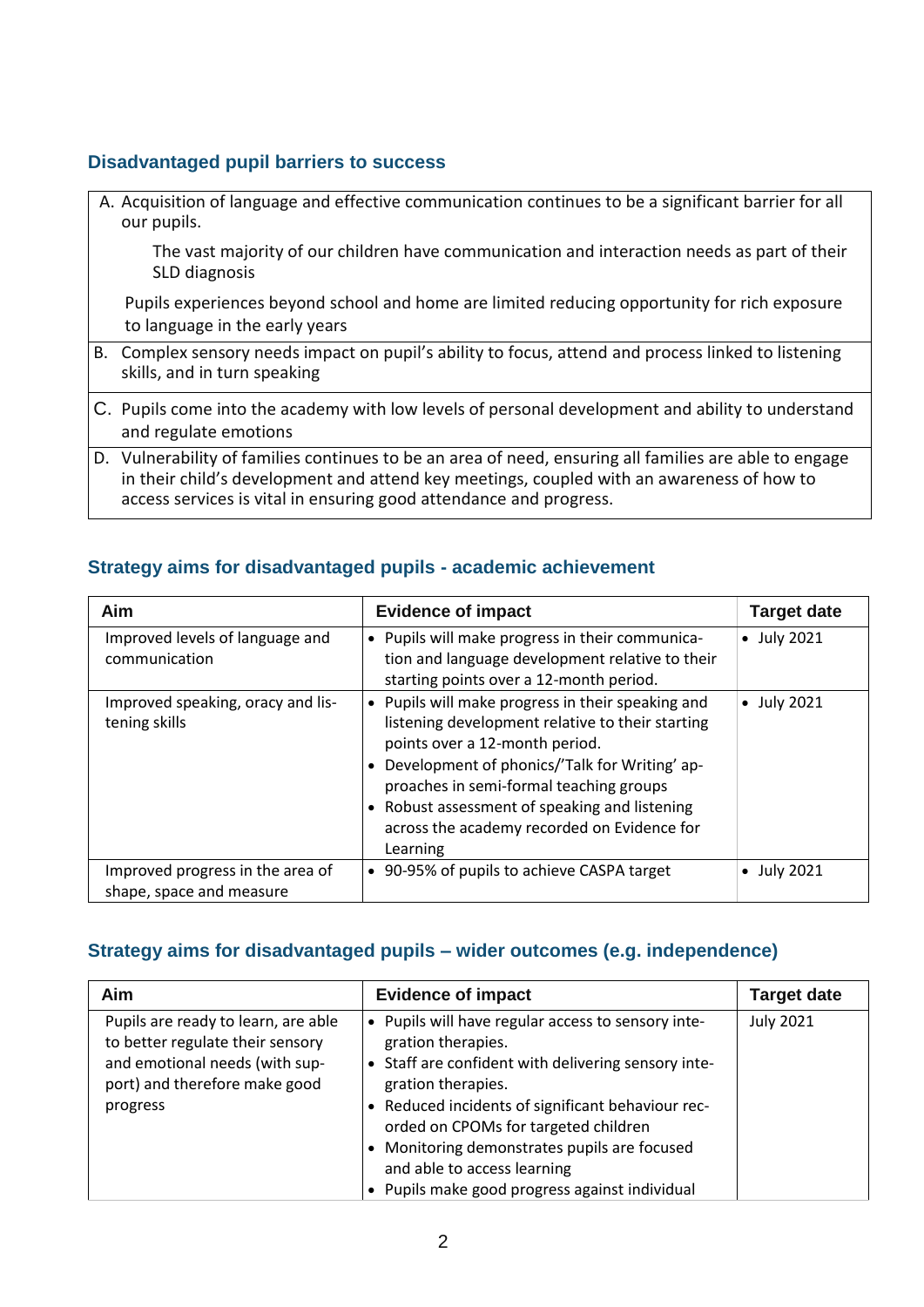#### **Disadvantaged pupil barriers to success**

| A. Acquisition of language and effective communication continues to be a significant barrier for all<br>our pupils.                                                                                                                                                       |
|---------------------------------------------------------------------------------------------------------------------------------------------------------------------------------------------------------------------------------------------------------------------------|
| The vast majority of our children have communication and interaction needs as part of their<br>SLD diagnosis                                                                                                                                                              |
| Pupils experiences beyond school and home are limited reducing opportunity for rich exposure<br>to language in the early years                                                                                                                                            |
| B. Complex sensory needs impact on pupil's ability to focus, attend and process linked to listening<br>skills, and in turn speaking                                                                                                                                       |
| C. Pupils come into the academy with low levels of personal development and ability to understand<br>and regulate emotions                                                                                                                                                |
| D. Vulnerability of families continues to be an area of need, ensuring all families are able to engage<br>in their child's development and attend key meetings, coupled with an awareness of how to<br>access services is vital in ensuring good attendance and progress. |

#### **Strategy aims for disadvantaged pupils - academic achievement**

| Aim                                                          | <b>Evidence of impact</b>                                                                                                                                                                                                                                                                                                                     | <b>Target date</b> |
|--------------------------------------------------------------|-----------------------------------------------------------------------------------------------------------------------------------------------------------------------------------------------------------------------------------------------------------------------------------------------------------------------------------------------|--------------------|
| Improved levels of language and<br>communication             | • Pupils will make progress in their communica-<br>tion and language development relative to their<br>starting points over a 12-month period.                                                                                                                                                                                                 | • July 2021        |
| Improved speaking, oracy and lis-<br>tening skills           | • Pupils will make progress in their speaking and<br>listening development relative to their starting<br>points over a 12-month period.<br>Development of phonics/'Talk for Writing' ap-<br>proaches in semi-formal teaching groups<br>Robust assessment of speaking and listening<br>across the academy recorded on Evidence for<br>Learning | • July 2021        |
| Improved progress in the area of<br>shape, space and measure | 90-95% of pupils to achieve CASPA target<br>$\bullet$                                                                                                                                                                                                                                                                                         | <b>July 2021</b>   |

### **Strategy aims for disadvantaged pupils – wider outcomes (e.g. independence)**

| Aim                                                                                                                                                    | <b>Evidence of impact</b>                                                                                                                                                                                                                                                                                                                                                                  | <b>Target date</b> |
|--------------------------------------------------------------------------------------------------------------------------------------------------------|--------------------------------------------------------------------------------------------------------------------------------------------------------------------------------------------------------------------------------------------------------------------------------------------------------------------------------------------------------------------------------------------|--------------------|
| Pupils are ready to learn, are able<br>to better regulate their sensory<br>and emotional needs (with sup-<br>port) and therefore make good<br>progress | • Pupils will have regular access to sensory inte-<br>gration therapies.<br>Staff are confident with delivering sensory inte-<br>$\bullet$<br>gration therapies.<br>• Reduced incidents of significant behaviour rec-<br>orded on CPOMs for targeted children<br>Monitoring demonstrates pupils are focused<br>and able to access learning<br>Pupils make good progress against individual | <b>July 2021</b>   |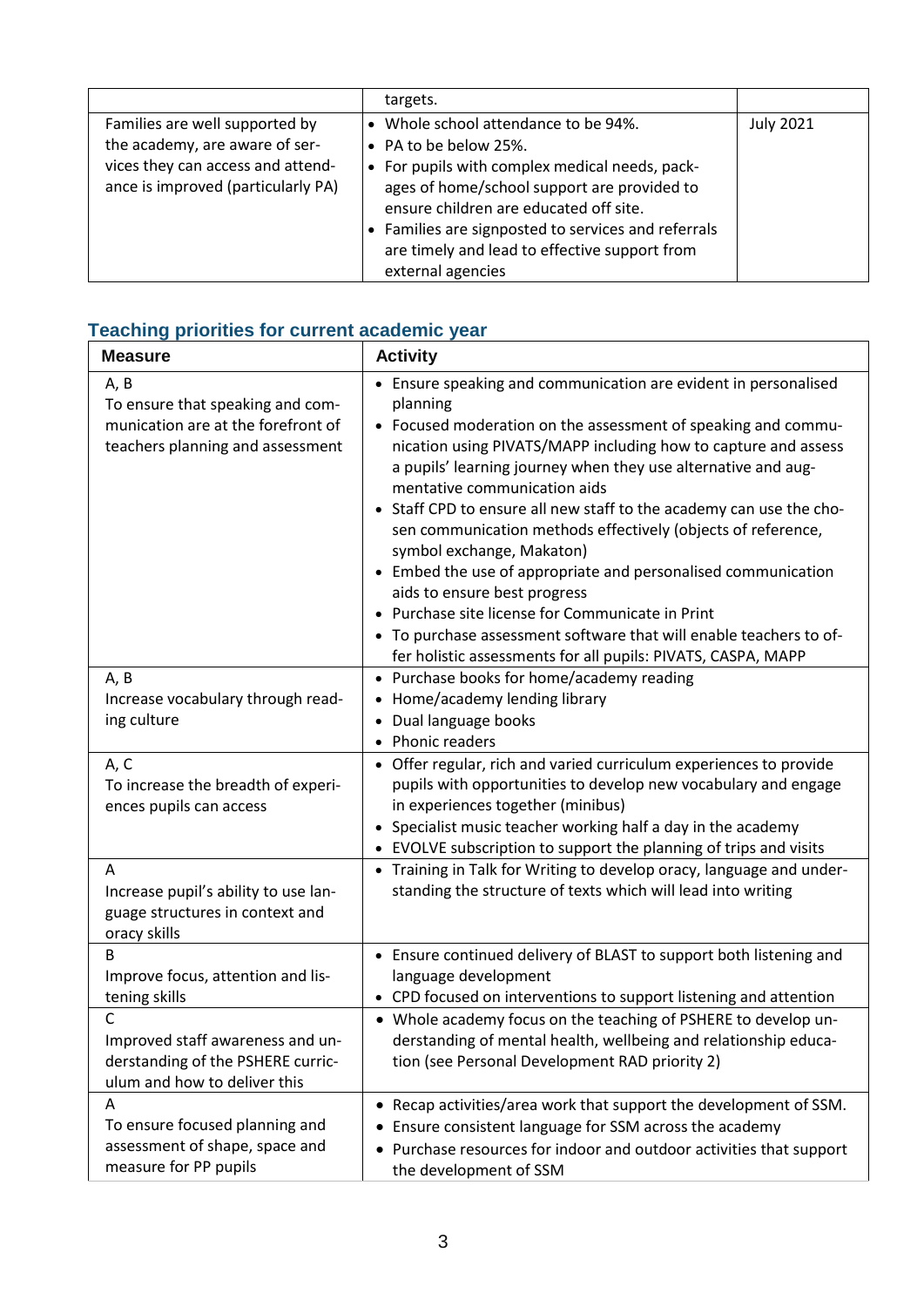|                                                                                                                                             | targets.                                                                                                                                                                                                                                                                                                                          |                  |
|---------------------------------------------------------------------------------------------------------------------------------------------|-----------------------------------------------------------------------------------------------------------------------------------------------------------------------------------------------------------------------------------------------------------------------------------------------------------------------------------|------------------|
| Families are well supported by<br>the academy, are aware of ser-<br>vices they can access and attend-<br>ance is improved (particularly PA) | Whole school attendance to be 94%.<br>• PA to be below 25%.<br>• For pupils with complex medical needs, pack-<br>ages of home/school support are provided to<br>ensure children are educated off site.<br>Families are signposted to services and referrals<br>are timely and lead to effective support from<br>external agencies | <b>July 2021</b> |

### **Teaching priorities for current academic year**

| <b>Measure</b>                                                                                                     | <b>Activity</b>                                                                                                                                                                                                                                                                                                                                                                                                                                                                                                                                                                                                                                                                                                                                                            |  |
|--------------------------------------------------------------------------------------------------------------------|----------------------------------------------------------------------------------------------------------------------------------------------------------------------------------------------------------------------------------------------------------------------------------------------------------------------------------------------------------------------------------------------------------------------------------------------------------------------------------------------------------------------------------------------------------------------------------------------------------------------------------------------------------------------------------------------------------------------------------------------------------------------------|--|
| A, B<br>To ensure that speaking and com-<br>munication are at the forefront of<br>teachers planning and assessment | • Ensure speaking and communication are evident in personalised<br>planning<br>• Focused moderation on the assessment of speaking and commu-<br>nication using PIVATS/MAPP including how to capture and assess<br>a pupils' learning journey when they use alternative and aug-<br>mentative communication aids<br>Staff CPD to ensure all new staff to the academy can use the cho-<br>sen communication methods effectively (objects of reference,<br>symbol exchange, Makaton)<br>• Embed the use of appropriate and personalised communication<br>aids to ensure best progress<br>Purchase site license for Communicate in Print<br>• To purchase assessment software that will enable teachers to of-<br>fer holistic assessments for all pupils: PIVATS, CASPA, MAPP |  |
| A, B<br>Increase vocabulary through read-<br>ing culture                                                           | • Purchase books for home/academy reading<br>Home/academy lending library<br>Dual language books<br>Phonic readers                                                                                                                                                                                                                                                                                                                                                                                                                                                                                                                                                                                                                                                         |  |
| A, C<br>To increase the breadth of experi-<br>ences pupils can access                                              | Offer regular, rich and varied curriculum experiences to provide<br>pupils with opportunities to develop new vocabulary and engage<br>in experiences together (minibus)<br>Specialist music teacher working half a day in the academy<br>• EVOLVE subscription to support the planning of trips and visits                                                                                                                                                                                                                                                                                                                                                                                                                                                                 |  |
| A<br>Increase pupil's ability to use lan-<br>guage structures in context and<br>oracy skills                       | Training in Talk for Writing to develop oracy, language and under-<br>standing the structure of texts which will lead into writing                                                                                                                                                                                                                                                                                                                                                                                                                                                                                                                                                                                                                                         |  |
| B<br>Improve focus, attention and lis-<br>tening skills                                                            | • Ensure continued delivery of BLAST to support both listening and<br>language development<br>• CPD focused on interventions to support listening and attention                                                                                                                                                                                                                                                                                                                                                                                                                                                                                                                                                                                                            |  |
| C<br>Improved staff awareness and un-<br>derstanding of the PSHERE curric-<br>ulum and how to deliver this         | • Whole academy focus on the teaching of PSHERE to develop un-<br>derstanding of mental health, wellbeing and relationship educa-<br>tion (see Personal Development RAD priority 2)                                                                                                                                                                                                                                                                                                                                                                                                                                                                                                                                                                                        |  |
| A<br>To ensure focused planning and<br>assessment of shape, space and<br>measure for PP pupils                     | • Recap activities/area work that support the development of SSM.<br>Ensure consistent language for SSM across the academy<br>Purchase resources for indoor and outdoor activities that support<br>٠<br>the development of SSM                                                                                                                                                                                                                                                                                                                                                                                                                                                                                                                                             |  |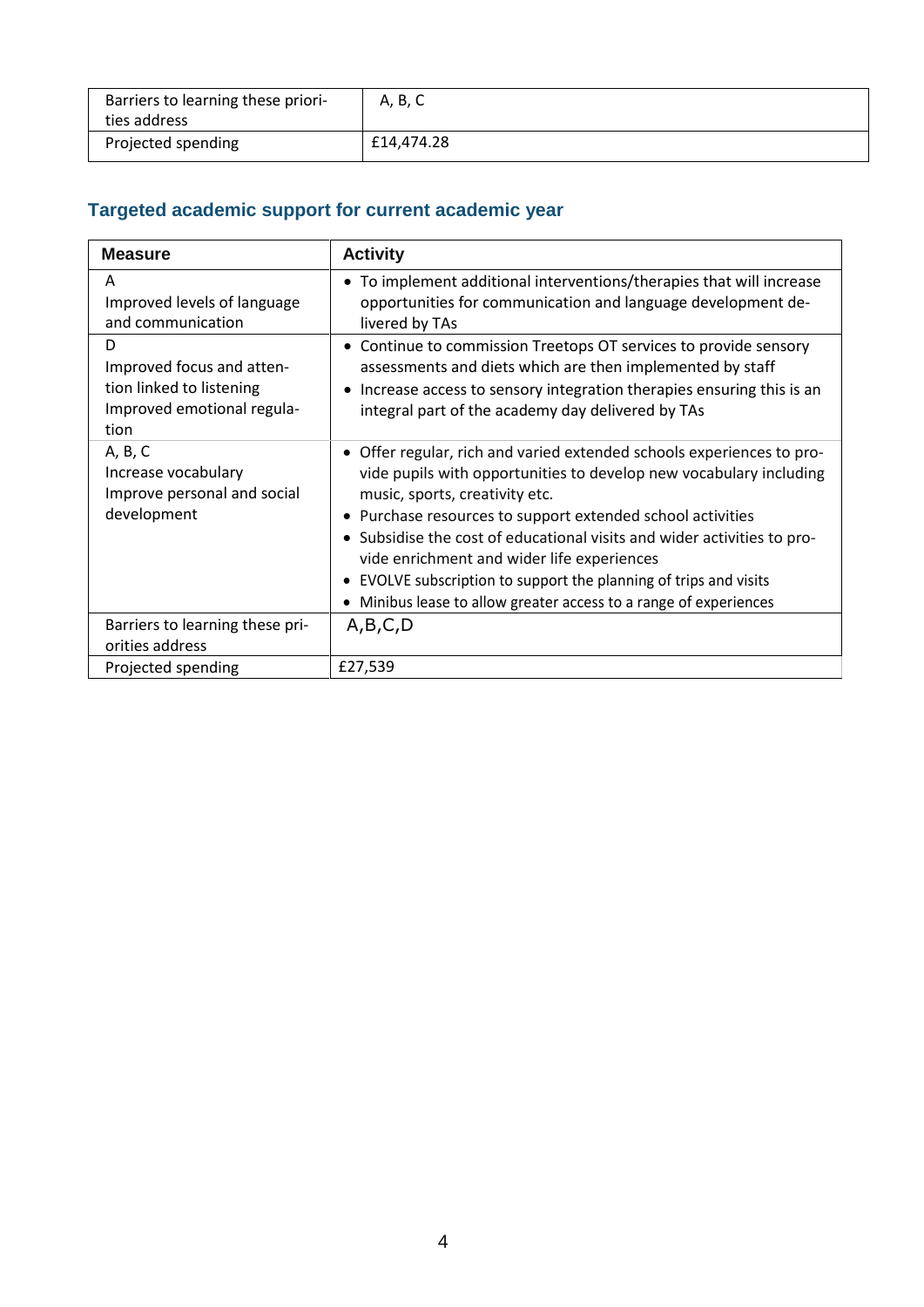| Barriers to learning these priori-<br>ties address | A, B, C    |
|----------------------------------------------------|------------|
| Projected spending                                 | £14,474.28 |

### **Targeted academic support for current academic year**

| <b>Measure</b>                                                                                   | <b>Activity</b>                                                                                                                                                                                                                                                                                                                                                                                                                                                                                              |
|--------------------------------------------------------------------------------------------------|--------------------------------------------------------------------------------------------------------------------------------------------------------------------------------------------------------------------------------------------------------------------------------------------------------------------------------------------------------------------------------------------------------------------------------------------------------------------------------------------------------------|
| A<br>Improved levels of language<br>and communication                                            | • To implement additional interventions/therapies that will increase<br>opportunities for communication and language development de-<br>livered by TAs                                                                                                                                                                                                                                                                                                                                                       |
| D<br>Improved focus and atten-<br>tion linked to listening<br>Improved emotional regula-<br>tion | • Continue to commission Treetops OT services to provide sensory<br>assessments and diets which are then implemented by staff<br>Increase access to sensory integration therapies ensuring this is an<br>integral part of the academy day delivered by TAs                                                                                                                                                                                                                                                   |
| A, B, C<br>Increase vocabulary<br>Improve personal and social<br>development                     | • Offer regular, rich and varied extended schools experiences to pro-<br>vide pupils with opportunities to develop new vocabulary including<br>music, sports, creativity etc.<br>• Purchase resources to support extended school activities<br>• Subsidise the cost of educational visits and wider activities to pro-<br>vide enrichment and wider life experiences<br>• EVOLVE subscription to support the planning of trips and visits<br>Minibus lease to allow greater access to a range of experiences |
| Barriers to learning these pri-<br>orities address                                               | A,B,C,D                                                                                                                                                                                                                                                                                                                                                                                                                                                                                                      |
| Projected spending                                                                               | £27,539                                                                                                                                                                                                                                                                                                                                                                                                                                                                                                      |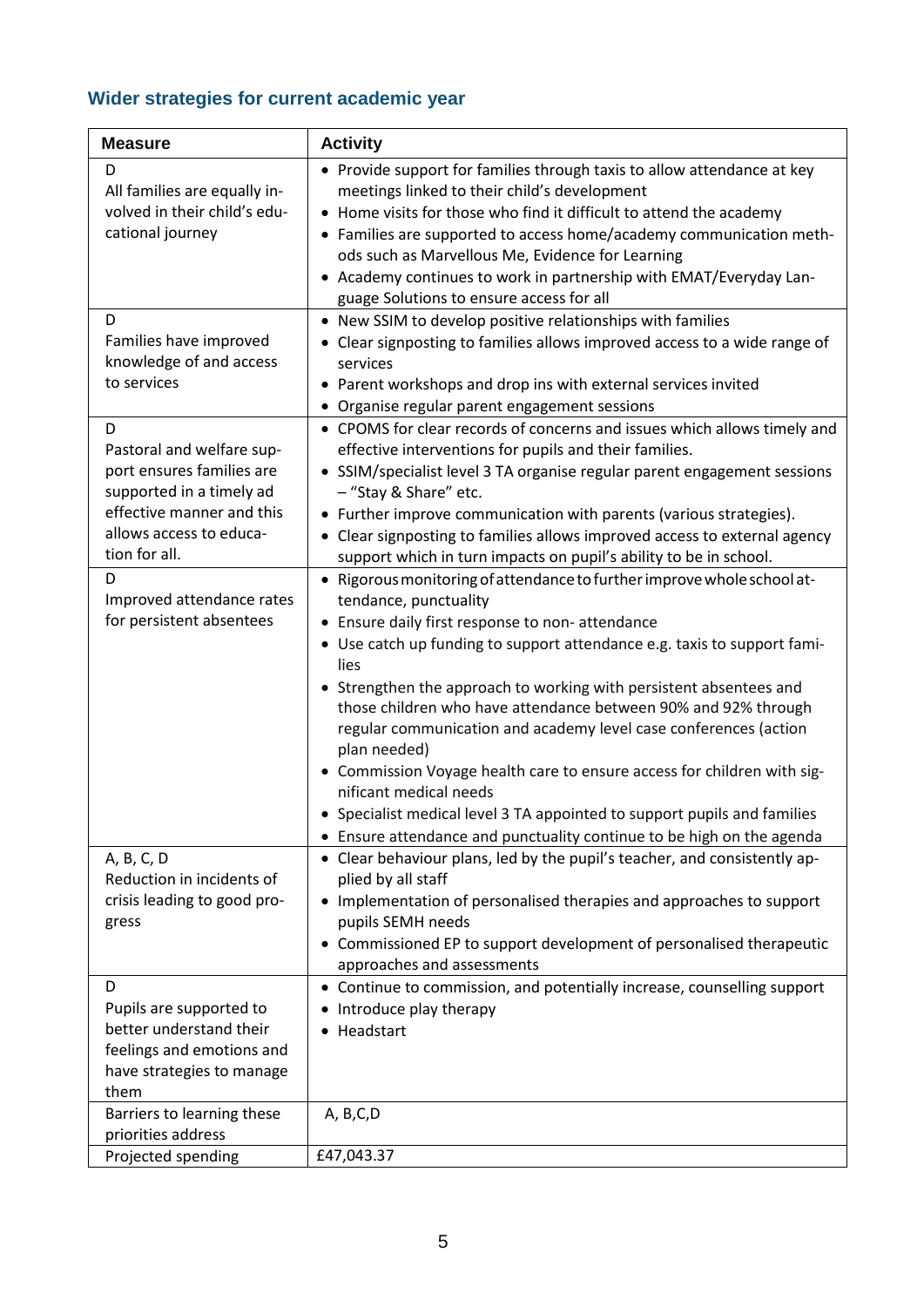# **Wider strategies for current academic year**

| <b>Measure</b>                                                                                                                                                   | <b>Activity</b>                                                                                                                                                                                                                                                                                                                                                                                                                                                                                                                          |
|------------------------------------------------------------------------------------------------------------------------------------------------------------------|------------------------------------------------------------------------------------------------------------------------------------------------------------------------------------------------------------------------------------------------------------------------------------------------------------------------------------------------------------------------------------------------------------------------------------------------------------------------------------------------------------------------------------------|
| D<br>All families are equally in-<br>volved in their child's edu-<br>cational journey                                                                            | • Provide support for families through taxis to allow attendance at key<br>meetings linked to their child's development<br>• Home visits for those who find it difficult to attend the academy<br>• Families are supported to access home/academy communication meth-<br>ods such as Marvellous Me, Evidence for Learning<br>• Academy continues to work in partnership with EMAT/Everyday Lan-                                                                                                                                          |
| D<br>Families have improved<br>knowledge of and access<br>to services                                                                                            | guage Solutions to ensure access for all<br>• New SSIM to develop positive relationships with families<br>• Clear signposting to families allows improved access to a wide range of<br>services<br>• Parent workshops and drop ins with external services invited<br>• Organise regular parent engagement sessions                                                                                                                                                                                                                       |
| D<br>Pastoral and welfare sup-<br>port ensures families are<br>supported in a timely ad<br>effective manner and this<br>allows access to educa-<br>tion for all. | • CPOMS for clear records of concerns and issues which allows timely and<br>effective interventions for pupils and their families.<br>• SSIM/specialist level 3 TA organise regular parent engagement sessions<br>- "Stay & Share" etc.<br>• Further improve communication with parents (various strategies).<br>• Clear signposting to families allows improved access to external agency                                                                                                                                               |
| D<br>Improved attendance rates<br>for persistent absentees                                                                                                       | support which in turn impacts on pupil's ability to be in school.<br>• Rigorous monitoring of attendance to further improve whole school at-<br>tendance, punctuality<br>• Ensure daily first response to non-attendance<br>• Use catch up funding to support attendance e.g. taxis to support fami-<br>lies<br>• Strengthen the approach to working with persistent absentees and<br>those children who have attendance between 90% and 92% through<br>regular communication and academy level case conferences (action<br>plan needed) |
|                                                                                                                                                                  | • Commission Voyage health care to ensure access for children with sig-<br>nificant medical needs<br>• Specialist medical level 3 TA appointed to support pupils and families<br>• Ensure attendance and punctuality continue to be high on the agenda                                                                                                                                                                                                                                                                                   |
| A, B, C, D<br>Reduction in incidents of<br>crisis leading to good pro-<br>gress                                                                                  | • Clear behaviour plans, led by the pupil's teacher, and consistently ap-<br>plied by all staff<br>• Implementation of personalised therapies and approaches to support<br>pupils SEMH needs<br>Commissioned EP to support development of personalised therapeutic<br>approaches and assessments                                                                                                                                                                                                                                         |
| D<br>Pupils are supported to<br>better understand their<br>feelings and emotions and<br>have strategies to manage<br>them                                        | • Continue to commission, and potentially increase, counselling support<br>Introduce play therapy<br>Headstart                                                                                                                                                                                                                                                                                                                                                                                                                           |
| Barriers to learning these<br>priorities address<br>Projected spending                                                                                           | A, B,C,D<br>£47,043.37                                                                                                                                                                                                                                                                                                                                                                                                                                                                                                                   |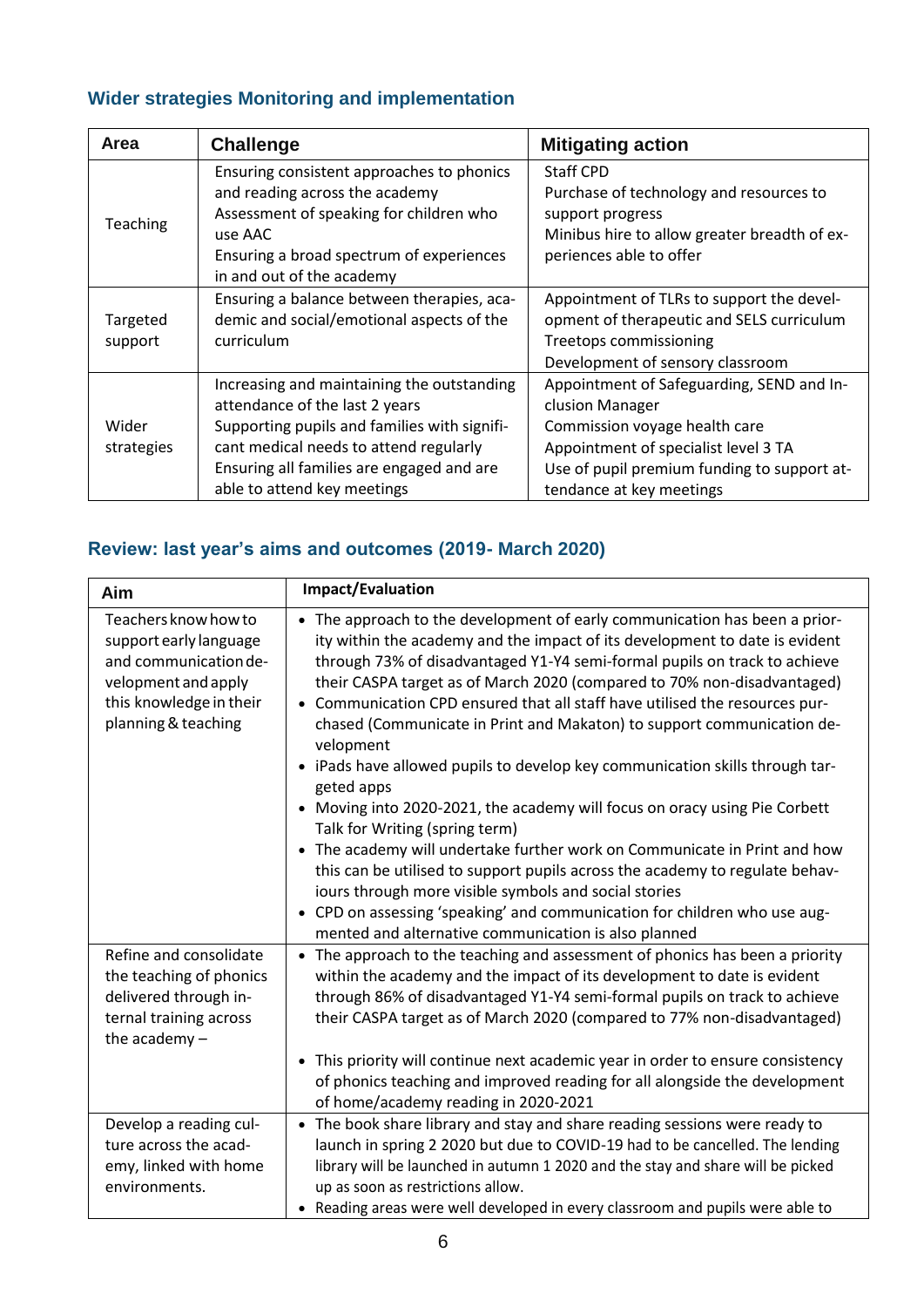# **Wider strategies Monitoring and implementation**

| Area                  | <b>Challenge</b>                             | <b>Mitigating action</b>                     |
|-----------------------|----------------------------------------------|----------------------------------------------|
|                       | Ensuring consistent approaches to phonics    | Staff CPD                                    |
|                       | and reading across the academy               | Purchase of technology and resources to      |
| Teaching              | Assessment of speaking for children who      | support progress                             |
|                       | use AAC                                      | Minibus hire to allow greater breadth of ex- |
|                       | Ensuring a broad spectrum of experiences     | periences able to offer                      |
|                       | in and out of the academy                    |                                              |
|                       | Ensuring a balance between therapies, aca-   | Appointment of TLRs to support the devel-    |
| Targeted              | demic and social/emotional aspects of the    | opment of therapeutic and SELS curriculum    |
| curriculum<br>support |                                              | Treetops commissioning                       |
|                       |                                              | Development of sensory classroom             |
|                       | Increasing and maintaining the outstanding   | Appointment of Safeguarding, SEND and In-    |
|                       | attendance of the last 2 years               | clusion Manager                              |
| Wider                 | Supporting pupils and families with signifi- | Commission voyage health care                |
| strategies            | cant medical needs to attend regularly       | Appointment of specialist level 3 TA         |
|                       | Ensuring all families are engaged and are    | Use of pupil premium funding to support at-  |
|                       | able to attend key meetings                  | tendance at key meetings                     |

### **Review: last year's aims and outcomes (2019- March 2020)**

| Aim                                                                                                                                              | <b>Impact/Evaluation</b>                                                                                                                                                                                                                                                                                                                                                                                                                                                                                                                                                                                                                                                                                                                                                                                                                                                                                                                                                                                 |
|--------------------------------------------------------------------------------------------------------------------------------------------------|----------------------------------------------------------------------------------------------------------------------------------------------------------------------------------------------------------------------------------------------------------------------------------------------------------------------------------------------------------------------------------------------------------------------------------------------------------------------------------------------------------------------------------------------------------------------------------------------------------------------------------------------------------------------------------------------------------------------------------------------------------------------------------------------------------------------------------------------------------------------------------------------------------------------------------------------------------------------------------------------------------|
| Teachers know how to<br>support early language<br>and communication de-<br>velopment and apply<br>this knowledge in their<br>planning & teaching | • The approach to the development of early communication has been a prior-<br>ity within the academy and the impact of its development to date is evident<br>through 73% of disadvantaged Y1-Y4 semi-formal pupils on track to achieve<br>their CASPA target as of March 2020 (compared to 70% non-disadvantaged)<br>• Communication CPD ensured that all staff have utilised the resources pur-<br>chased (Communicate in Print and Makaton) to support communication de-<br>velopment<br>• iPads have allowed pupils to develop key communication skills through tar-<br>geted apps<br>• Moving into 2020-2021, the academy will focus on oracy using Pie Corbett<br>Talk for Writing (spring term)<br>• The academy will undertake further work on Communicate in Print and how<br>this can be utilised to support pupils across the academy to regulate behav-<br>iours through more visible symbols and social stories<br>• CPD on assessing 'speaking' and communication for children who use aug- |
| Refine and consolidate<br>the teaching of phonics<br>delivered through in-<br>ternal training across<br>the academy $-$                          | mented and alternative communication is also planned<br>• The approach to the teaching and assessment of phonics has been a priority<br>within the academy and the impact of its development to date is evident<br>through 86% of disadvantaged Y1-Y4 semi-formal pupils on track to achieve<br>their CASPA target as of March 2020 (compared to 77% non-disadvantaged)<br>• This priority will continue next academic year in order to ensure consistency<br>of phonics teaching and improved reading for all alongside the development<br>of home/academy reading in 2020-2021                                                                                                                                                                                                                                                                                                                                                                                                                         |
| Develop a reading cul-<br>ture across the acad-<br>emy, linked with home<br>environments.                                                        | • The book share library and stay and share reading sessions were ready to<br>launch in spring 2 2020 but due to COVID-19 had to be cancelled. The lending<br>library will be launched in autumn 1 2020 and the stay and share will be picked<br>up as soon as restrictions allow.<br>• Reading areas were well developed in every classroom and pupils were able to                                                                                                                                                                                                                                                                                                                                                                                                                                                                                                                                                                                                                                     |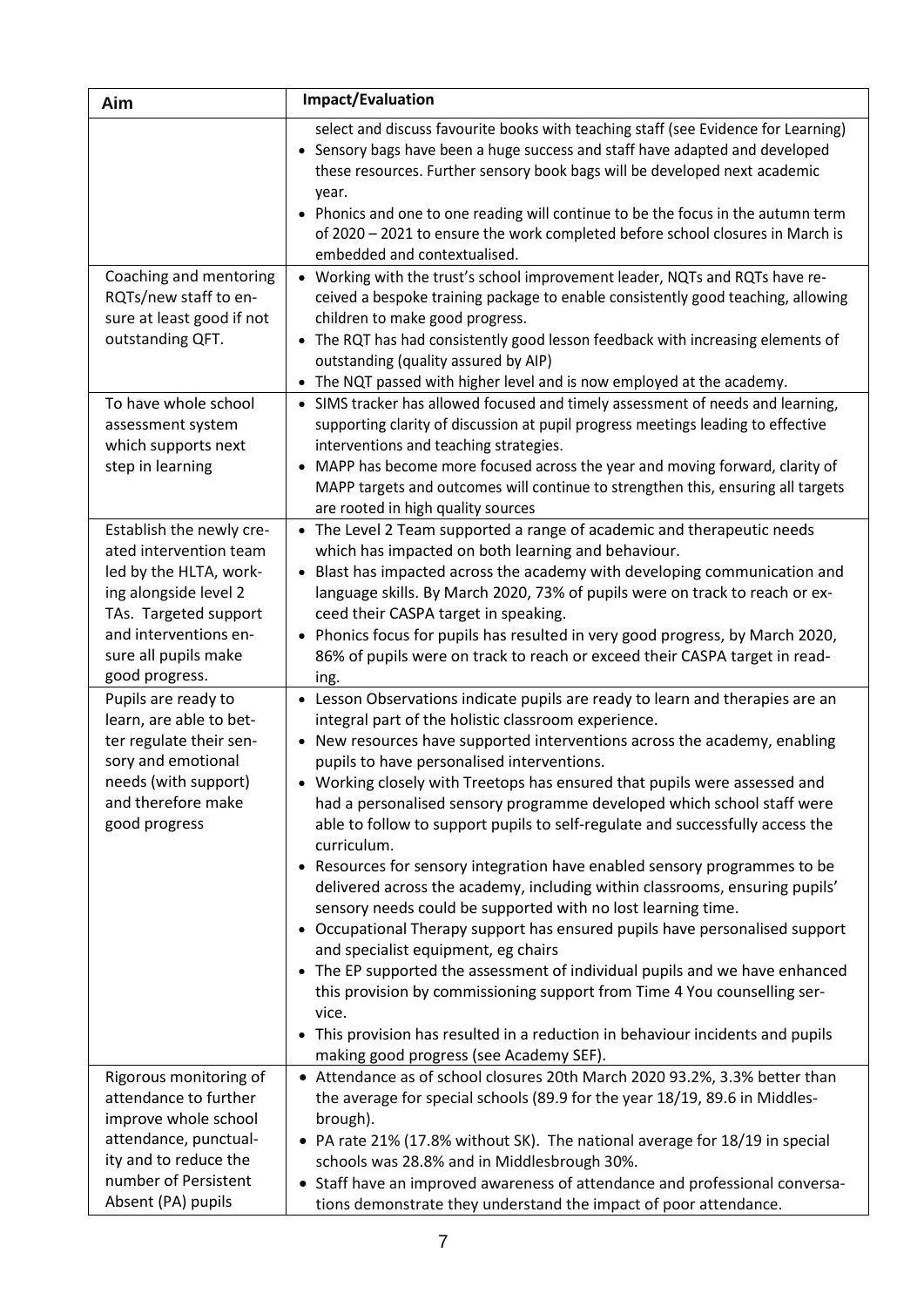| Aim                                                                                                                                                                                               | Impact/Evaluation                                                                                                                                                                                                                                                                                                                                                                                                                                                                                                                                                                                                                                                                                                                                                                                                                                                                                                                                                                                                                                                                                                                                                       |
|---------------------------------------------------------------------------------------------------------------------------------------------------------------------------------------------------|-------------------------------------------------------------------------------------------------------------------------------------------------------------------------------------------------------------------------------------------------------------------------------------------------------------------------------------------------------------------------------------------------------------------------------------------------------------------------------------------------------------------------------------------------------------------------------------------------------------------------------------------------------------------------------------------------------------------------------------------------------------------------------------------------------------------------------------------------------------------------------------------------------------------------------------------------------------------------------------------------------------------------------------------------------------------------------------------------------------------------------------------------------------------------|
| Coaching and mentoring                                                                                                                                                                            | select and discuss favourite books with teaching staff (see Evidence for Learning)<br>• Sensory bags have been a huge success and staff have adapted and developed<br>these resources. Further sensory book bags will be developed next academic<br>year.<br>• Phonics and one to one reading will continue to be the focus in the autumn term<br>of 2020 - 2021 to ensure the work completed before school closures in March is<br>embedded and contextualised.<br>• Working with the trust's school improvement leader, NQTs and RQTs have re-                                                                                                                                                                                                                                                                                                                                                                                                                                                                                                                                                                                                                        |
| RQTs/new staff to en-<br>sure at least good if not<br>outstanding QFT.                                                                                                                            | ceived a bespoke training package to enable consistently good teaching, allowing<br>children to make good progress.<br>• The RQT has had consistently good lesson feedback with increasing elements of<br>outstanding (quality assured by AIP)<br>• The NQT passed with higher level and is now employed at the academy.                                                                                                                                                                                                                                                                                                                                                                                                                                                                                                                                                                                                                                                                                                                                                                                                                                                |
| To have whole school<br>assessment system<br>which supports next<br>step in learning                                                                                                              | • SIMS tracker has allowed focused and timely assessment of needs and learning,<br>supporting clarity of discussion at pupil progress meetings leading to effective<br>interventions and teaching strategies.<br>MAPP has become more focused across the year and moving forward, clarity of<br>MAPP targets and outcomes will continue to strengthen this, ensuring all targets<br>are rooted in high quality sources                                                                                                                                                                                                                                                                                                                                                                                                                                                                                                                                                                                                                                                                                                                                                  |
| Establish the newly cre-<br>ated intervention team<br>led by the HLTA, work-<br>ing alongside level 2<br>TAs. Targeted support<br>and interventions en-<br>sure all pupils make<br>good progress. | • The Level 2 Team supported a range of academic and therapeutic needs<br>which has impacted on both learning and behaviour.<br>• Blast has impacted across the academy with developing communication and<br>language skills. By March 2020, 73% of pupils were on track to reach or ex-<br>ceed their CASPA target in speaking.<br>• Phonics focus for pupils has resulted in very good progress, by March 2020,<br>86% of pupils were on track to reach or exceed their CASPA target in read-<br>ing.                                                                                                                                                                                                                                                                                                                                                                                                                                                                                                                                                                                                                                                                 |
| Pupils are ready to<br>learn, are able to bet-<br>ter regulate their sen-<br>sory and emotional<br>needs (with support)<br>and therefore make<br>good progress                                    | • Lesson Observations indicate pupils are ready to learn and therapies are an<br>integral part of the holistic classroom experience.<br>• New resources have supported interventions across the academy, enabling<br>pupils to have personalised interventions.<br>Working closely with Treetops has ensured that pupils were assessed and<br>had a personalised sensory programme developed which school staff were<br>able to follow to support pupils to self-regulate and successfully access the<br>curriculum.<br>• Resources for sensory integration have enabled sensory programmes to be<br>delivered across the academy, including within classrooms, ensuring pupils'<br>sensory needs could be supported with no lost learning time.<br>• Occupational Therapy support has ensured pupils have personalised support<br>and specialist equipment, eg chairs<br>• The EP supported the assessment of individual pupils and we have enhanced<br>this provision by commissioning support from Time 4 You counselling ser-<br>vice.<br>• This provision has resulted in a reduction in behaviour incidents and pupils<br>making good progress (see Academy SEF). |
| Rigorous monitoring of<br>attendance to further<br>improve whole school<br>attendance, punctual-<br>ity and to reduce the<br>number of Persistent<br>Absent (PA) pupils                           | • Attendance as of school closures 20th March 2020 93.2%, 3.3% better than<br>the average for special schools (89.9 for the year 18/19, 89.6 in Middles-<br>brough).<br>• PA rate 21% (17.8% without SK). The national average for 18/19 in special<br>schools was 28.8% and in Middlesbrough 30%.<br>• Staff have an improved awareness of attendance and professional conversa-<br>tions demonstrate they understand the impact of poor attendance.                                                                                                                                                                                                                                                                                                                                                                                                                                                                                                                                                                                                                                                                                                                   |